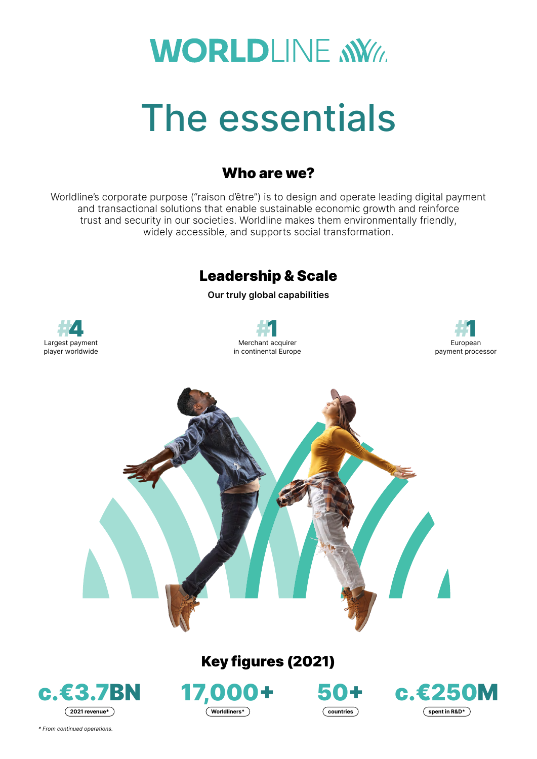# **WORLDLINE NWW**

# The essentials

## Who are we?

Worldline's corporate purpose ("raison d'être") is to design and operate leading digital payment and transactional solutions that enable sustainable economic growth and reinforce trust and security in our societies. Worldline makes them environmentally friendly, widely accessible, and supports social transformation.

# Leadership & Scale

**Our truly global capabilities**









## Key figures (2021)